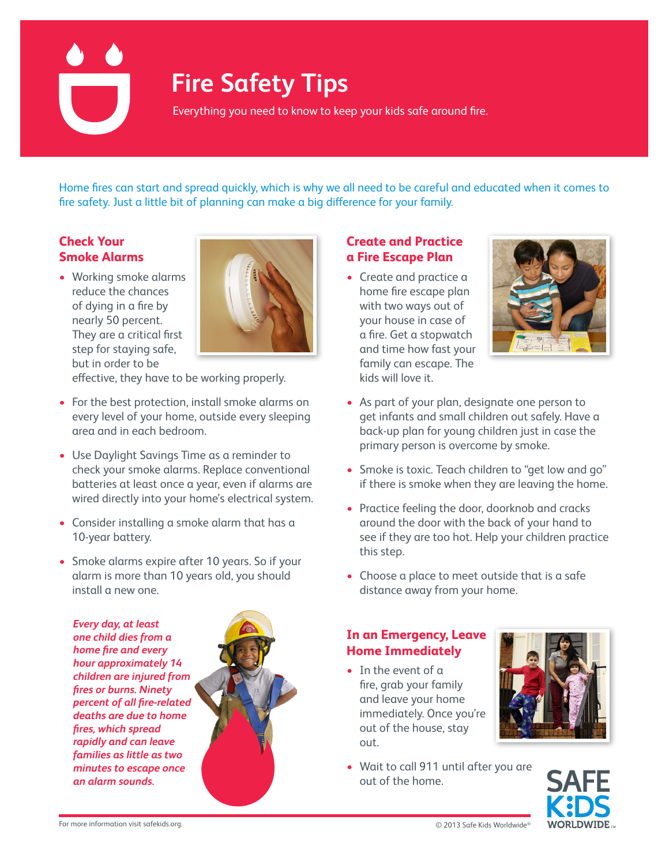# **Fire Safety Tips**

Everything you need to know to keep your kids safe around fire.

Home fires can start and spread quickly, which is why we all need to be careful and educated when it comes to fire safety. Just a little bit of planning can make a big difference for your family.

#### **Check Your Smoke Alarms**

• Working smoke alarms reduce the chances of dying in a fire by nearly 50 percent. They are a critical first step for staying safe, but in order to be



effective, they have to be working properly.

- For the best protection, install smoke alarms on every level of your home, outside every sleeping area and in each bedroom.
- Use Daylight Savings Time as a reminder to check your smoke alarms. Replace conventional batteries at least once a year, even if alarms are wired directly into your home's electrical system.
- Consider installing a smoke alarm that has a 10-year battery.
- Smoke alarms expire after 10 years. So if your alarm is more than 10 years old, you should install a new one.

*Every day, at least one child dies from a home fire and every hour approximately 14 children are injured from fires or burns. Ninety percent of all fire-related deaths are due to home fires, which spread rapidly and can leave families as little as two minutes to escape once an alarm sounds.* 



# **Create and Practice a Fire Escape Plan**

• Create and practice a home fire escape plan with two ways out of your house in case of a fire. Get a stopwatch and time how fast your family can escape. The kids will love it.



- As part of your plan, designate one person to get infants and small children out safely. Have a back-up plan for young children just in case the primary person is overcome by smoke.
- Smoke is toxic. Teach children to "get low and go" if there is smoke when they are leaving the home.
- Practice feeling the door, doorknob and cracks around the door with the back of your hand to see if they are too hot. Help your children practice this step.
- Choose a place to meet outside that is a safe distance away from your home.

## **In an Emergency, Leave Home Immediately**

- In the event of a fire, grab your family and leave your home immediately. Once you're out of the house, stay out.
- Wait to call 911 until after you are out of the home.